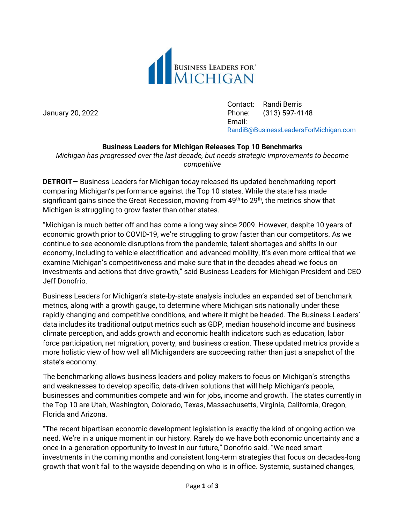

Contact: Randi Berris January 20, 2022 Phone: (313) 597-4148 Email: [RandiB@BusinessLeadersForMichigan.com](mailto:RandiB@BusinessLeadersForMichigan.com)

## **Business Leaders for Michigan Releases Top 10 Benchmarks**

*Michigan has progressed over the last decade, but needs strategic improvements to become competitive*

**DETROIT**— Business Leaders for Michigan today released its updated benchmarking report comparing Michigan's performance against the Top 10 states. While the state has made significant gains since the Great Recession, moving from 49<sup>th</sup> to 29<sup>th</sup>, the metrics show that Michigan is struggling to grow faster than other states.

"Michigan is much better off and has come a long way since 2009. However, despite 10 years of economic growth prior to COVID-19, we're struggling to grow faster than our competitors. As we continue to see economic disruptions from the pandemic, talent shortages and shifts in our economy, including to vehicle electrification and advanced mobility, it's even more critical that we examine Michigan's competitiveness and make sure that in the decades ahead we focus on investments and actions that drive growth," said Business Leaders for Michigan President and CEO Jeff Donofrio.

Business Leaders for Michigan's state-by-state analysis includes an expanded set of benchmark metrics, along with a growth gauge, to determine where Michigan sits nationally under these rapidly changing and competitive conditions, and where it might be headed. The Business Leaders' data includes its traditional output metrics such as GDP, median household income and business climate perception, and adds growth and economic health indicators such as education, labor force participation, net migration, poverty, and business creation. These updated metrics provide a more holistic view of how well all Michiganders are succeeding rather than just a snapshot of the state's economy.

The benchmarking allows business leaders and policy makers to focus on Michigan's strengths and weaknesses to develop specific, data-driven solutions that will help Michigan's people, businesses and communities compete and win for jobs, income and growth. The states currently in the Top 10 are Utah, Washington, Colorado, Texas, Massachusetts, Virginia, California, Oregon, Florida and Arizona.

"The recent bipartisan economic development legislation is exactly the kind of ongoing action we need. We're in a unique moment in our history. Rarely do we have both economic uncertainty and a once-in-a-generation opportunity to invest in our future," Donofrio said. "We need smart investments in the coming months and consistent long-term strategies that focus on decades-long growth that won't fall to the wayside depending on who is in office. Systemic, sustained changes,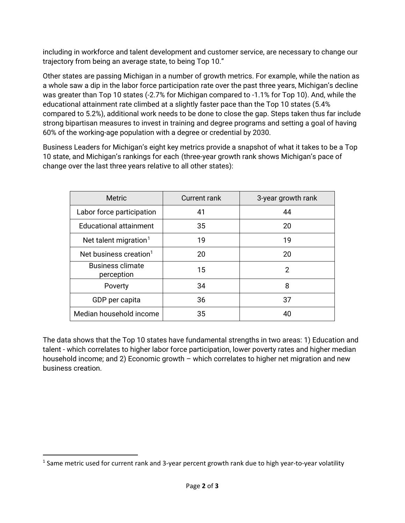including in workforce and talent development and customer service, are necessary to change our trajectory from being an average state, to being Top 10."

Other states are passing Michigan in a number of growth metrics. For example, while the nation as a whole saw a dip in the labor force participation rate over the past three years, Michigan's decline was greater than Top 10 states (-2.7% for Michigan compared to -1.1% for Top 10). And, while the educational attainment rate climbed at a slightly faster pace than the Top 10 states (5.4% compared to 5.2%), additional work needs to be done to close the gap. Steps taken thus far include strong bipartisan measures to invest in training and degree programs and setting a goal of having 60% of the working-age population with a degree or credential by 2030.

Business Leaders for Michigan's eight key metrics provide a snapshot of what it takes to be a Top 10 state, and Michigan's rankings for each (three-year growth rank shows Michigan's pace of change over the last three years relative to all other states):

| <b>Metric</b>                         | <b>Current rank</b> | 3-year growth rank |
|---------------------------------------|---------------------|--------------------|
| Labor force participation             | 41                  | 44                 |
| <b>Educational attainment</b>         | 35                  | 20                 |
| Net talent migration <sup>1</sup>     | 19                  | 19                 |
| Net business creation <sup>1</sup>    | 20                  | 20                 |
| <b>Business climate</b><br>perception | 15                  | 2                  |
| Poverty                               | 34                  | 8                  |
| GDP per capita                        | 36                  | 37                 |
| Median household income               | 35                  | 40                 |

The data shows that the Top 10 states have fundamental strengths in two areas: 1) Education and talent - which correlates to higher labor force participation, lower poverty rates and higher median household income; and 2) Economic growth – which correlates to higher net migration and new business creation.

<span id="page-1-0"></span><sup>&</sup>lt;sup>1</sup> Same metric used for current rank and 3-year percent growth rank due to high year-to-year volatility